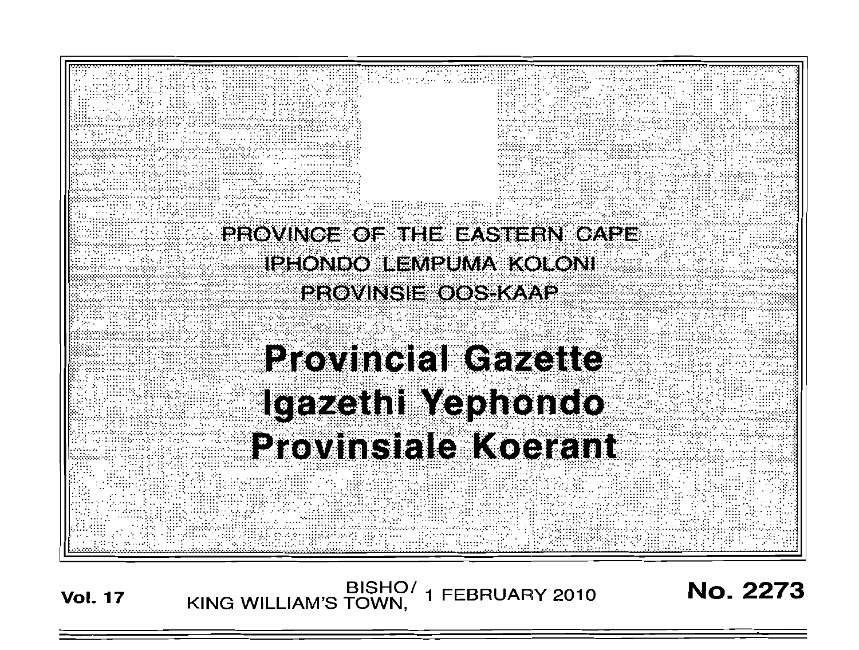

BISHO/<br>KING WILLIAM'S TOWN, 1 FEBRUARY 2010 **Vol. 17** 

**No. 2273**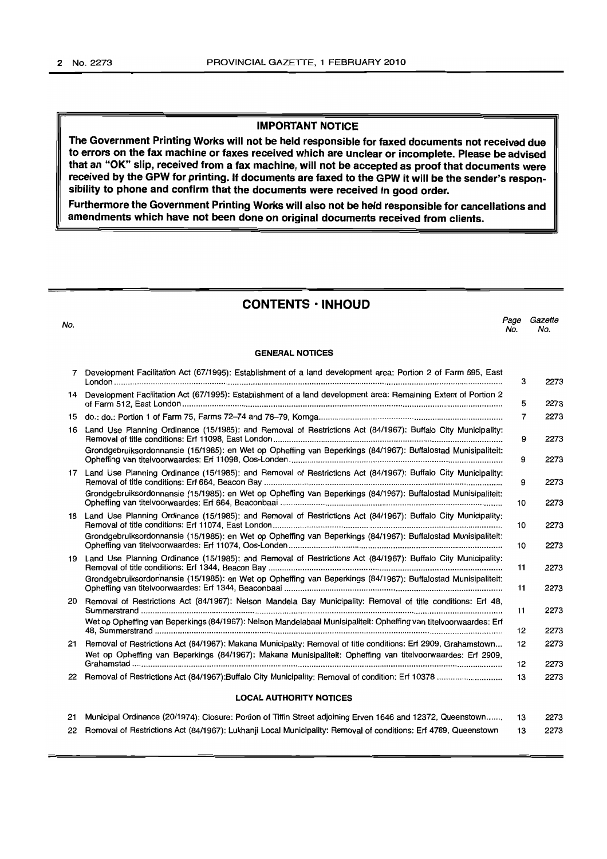## **IMPORTANT NOTICE**

**The Government Printing Works will not be held responsible for faxed documents not received due to errors on the fax machine or faxes received which are unclear or incomplete. Please be advised that an "OK" slip, received from a fax machine, will not be accepted as proof that documents were received by the GPW for printing. If documents are faxed to the GPW it will be the sender's responsibility to phone and confirm that the documents were received in good order.**

**Furthermore the Government Printing Works will also not be held responsible for cancellations and amendments which have not been done on original documents received from clients.**

**CONTENTS ·INHOUD**

| No. |                                                                                                                                                                                                                                  | Page<br>No. | Gazette<br>No. |
|-----|----------------------------------------------------------------------------------------------------------------------------------------------------------------------------------------------------------------------------------|-------------|----------------|
|     | <b>GENERAL NOTICES</b>                                                                                                                                                                                                           |             |                |
| 7   | Development Facilitation Act (67/1995): Establishment of a land development area: Portion 2 of Farm 695, East                                                                                                                    | з           | 2273           |
|     | 14 Development Facilitation Act (67/1995): Establishment of a land development area: Remaining Extent of Portion 2                                                                                                               | 5           | 2273           |
|     |                                                                                                                                                                                                                                  | 7           | 2273           |
| 16  | Land Use Planning Ordinance (15/1985): and Removal of Restrictions Act (84/1967): Buffalo City Municipality:                                                                                                                     | 9           | 2273           |
|     | Grondgebruiksordonnansie (15/1985): en Wet op Opheffing van Beperkings (84/1967): Buffalostad Munisipaliteit:                                                                                                                    | 9           | 2273           |
|     | 17 Land Use Planning Ordinance (15/1985): and Removal of Restrictions Act (84/1967): Buffalo City Municipality:                                                                                                                  | 9           | 2273           |
|     | Grondgebruiksordonnansie (15/1985): en Wet op Opheffing van Beperkings (84/1967): Buffalostad Munisipaliteit:                                                                                                                    | 10          | 2273           |
|     | 18 Land Use Planning Ordinance (15/1985): and Removal of Restrictions Act (84/1967): Buffalo City Municipality:                                                                                                                  | 10          | 2273           |
|     | Grondgebruiksordonnansie (15/1985): en Wet op Opheffing van Beperkings (84/1967): Buffalostad Munisipaliteit:                                                                                                                    | 10          | 2273           |
|     | 19 Land Use Planning Ordinance (15/1985): and Removal of Restrictions Act (84/1967): Buffalo City Municipality:                                                                                                                  | 11          | 2273           |
|     | Grondgebruiksordonnansie (15/1985): en Wet op Opheffing van Beperkings (84/1967): Buffalostad Munisipaliteit:                                                                                                                    | 11          | 2273           |
| 20  | Removal of Restrictions Act (84/1967): Nelson Mandela Bay Municipality: Removal of title conditions: Erf 48,                                                                                                                     | 11          | 2273           |
|     | Wet op Opheffing van Beperkings (84/1967): Nelson Mandelabaai Munisipaliteit: Opheffing van titelvoorwaardes: Erf                                                                                                                | 12          | 2273           |
|     | 21 Removal of Restrictions Act (84/1967): Makana Municipality: Removal of title conditions: Erf 2909, Grahamstown<br>Wet op Opheffing van Beperkings (84/1967): Makana Munisipaliteit: Opheffing van titelvoorwaardes: Erf 2909, | 12<br>12    | 2273<br>2273   |
|     |                                                                                                                                                                                                                                  | 13          | 2273           |
|     | <b>LOCAL AUTHORITY NOTICES</b>                                                                                                                                                                                                   |             |                |
| 21  | Municipal Ordinance (20/1974): Closure: Portion of Tiffin Street adjoining Erven 1646 and 12372, Queenstown                                                                                                                      | 13          | 2273           |

22 Removal of Restrictions Act (84/1967): Lukhanji Local Municipality: Removal of conditions: Erf 4789, Queenstown 13 2273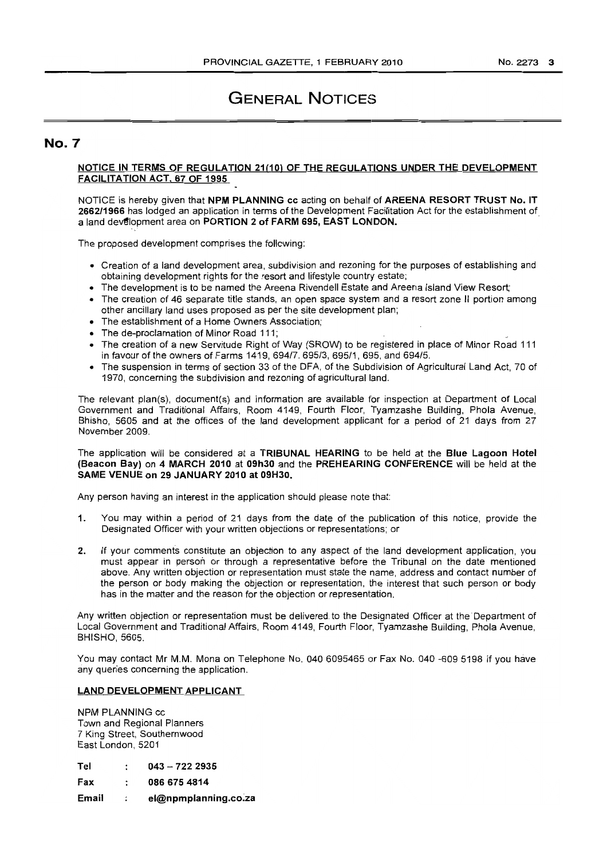# GENERAL NOTiCES

## **No.7**

## NOTICE IN TERMS OF REGULATION 21(10) OF THE REGULATIONS UNDER THE DEVELOPMENT FACILITATION ACT, 67 OF 1995

NOTICE is hereby given that NPM PLANNING cc acting on behalf of AREENA RESORT TRUST No. IT 2662/1966 has lodged an application in terms of the Development Facilitation Act for the establishment of a land development area on PORTION 2 of FARM 695, EAST LONDON.

The proposed development comprises the following:

- Creation of a land development area, subdivision and rezoning for the purposes of establishing and obtaining development rights for the resort and lifestyle country estate;
- The development is to be named the Areena Rivendell Estate and Areena Island View Resort;
- The creation of 46 separate title stands, an open space system and a resort zone II portion among other ancillary land uses proposed as per the site development plan;
- The establishment of a Home Owners Association;
- The de-proclamation of Minor Road 111;
- The creation of a new Servitude Right of Way (SROW) to be registered in place of Minor Road 111 in favour of the owners of Farms 1419, 694/7, 695/3, 695/1, 695, and 694/5.
- The suspension in terms of section 33 of the DFA, of the Subdivision of Agricultural Land Act, 70 of 1970, concerning the subdivision and rezoning of agricultural land.

The relevant plan(s), document(s) and information are available for inspection at Department of Local Government and Traditional Affairs, Room 4149, Fourth Floor, Tyamzashe Building, Phota Avenue, Bhisho, 5605 and at the offices of the land development applicant for a period of 21 days from 27 November 2009.

The application will be considered at a TRIBUNAL HEARING to be held at the Blue Lagoon Hotel (Beacon Bay) on 4 MARCH 2010 at 09h30 and the PREHEARING CONFERENCE will be held at the SAME VENUE on 29 JANUARY 2010 at 09H30.

Any person having an interest in the application should please note that:

- 1. You may within a period of 21 days from the date of the publlcation of this notice, provide the Designated Officer with your written objections or representations; or
- 2. If your comments constitute an objection to any aspect of the land development application, you must appear in person or through a representative before the Tribunal on the date mentioned above. Any written objection or representation must state the name, address and contact number of the person or body making the objection or representation, the interest that such person or body has in the matter and the reason for the objection or representation.

Any written objection or representation must be delivered to the Designated Officer at the Department of Local Government and Traditional Affairs, Room 4149, Fourth Floor, Tyamzashe Building, Phola Avenue, BHISHO, 5605.

You may contact Mr M.M. Mona on Telephone No. 040 6095465 or Fax No. 040 -609 5198 if you have any queries concerning the application.

### LAND DEVELOPMENT APPLICANT

NPM PLANNING cc Town and Regional Planners 7 King Street, Southernwood East London, 5201

| Tel | $043 - 7222935$ |
|-----|-----------------|
|-----|-----------------|

Fax 0866754814

Email el@npmplanning.co.za  $\ddot{\phantom{a}}$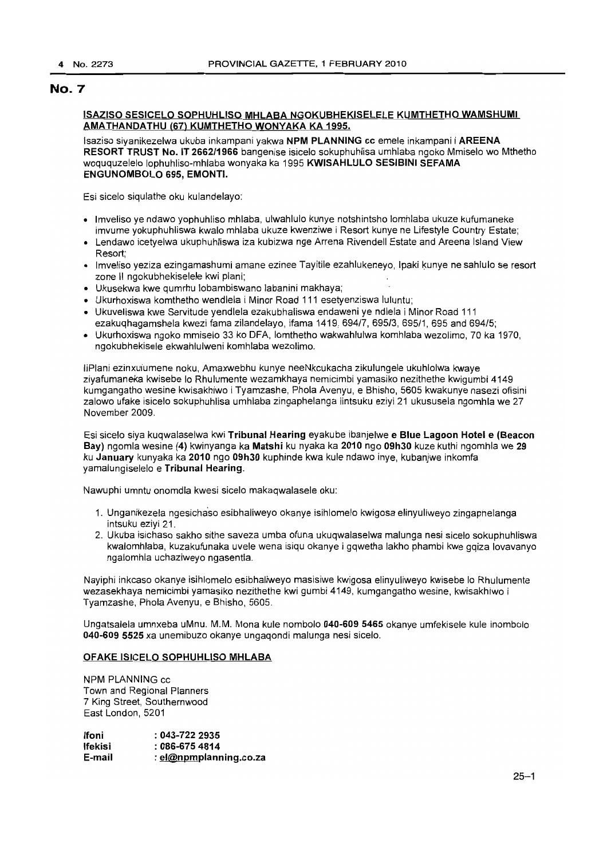### ISAZISO SESICELO SOPHUHLISO MHLABA NGOKUBHEKISELELE KUMTHETHO WAMSHUMI AMATHANDATHU (67) KUMTHETHO WONYAKA KA 1995.

Isaziso siyanikezelwa ukuba inkampani yakwa NPM PLANNING cc emele inkampani i AREENA RESORT TRUST No. IT 2662/1966 bangenise isicelo sokuphuhlisa umhlaba ngoko Mmiselo wo Mthetho woququzelelo lophuhliso-mhlaba wonyaka ka 1995 KWISAHLULO SESIBINI SEFAMA ENGUNOMBOLO 695, EMONTI.

Esi sicelo siqulathe oku kulandelayo:

- Imveliso ye ndawo yophuhliso mhlaba, ulwahlulo kunye notshintsho lomhlaba ukuze kufumaneke imvume yokuphuhliswa kwalo mhlaba ukuze kwenziwe i Resort kunye ne Lifestyle Country Estate;
- Lendawo icetyelwa ukuphuhliswa iza kubizwa nge Arrena Rivendell Estate and Areena Island View Resort;
- Imveliso yeziza ezingamashumi amane ezinee Tayitile ezahlukeneyo, Ipaki kunye ne sahlulo se resort zone II ngokubhekiselele kwi plani;
- Ukusekwa kwe qumrhu lobambiswano labanini makhaya;
- Ukurhoxiswa komthetho wendlela i Minor Road 111 esetyenziswa luluntu;
- Ukuveliswa kwe Servitude yendlela ezakubhaliswa endaweni ye ndlela i Minor Road 111 ezakuqhagamshela kwezi fama zilandelayo, ifama 1419, 694/7, 695/3, 695/1, 695 and 694/5;
- Ukurhoxiswa ngoko mmiselo 33 ko DFA, lomthetho wakwahlulwa komhlaba wezolimo, 70 ka 1970, ngokubhekisele ekwahlulweni komhlaba wezolimo.

liPlani ezinxulumene noku, Amaxwebhu kunye neeNkcukacha zikulungele ukuhlolwa kwaye ziyafumaneka kwisebe 10 Rhulumente wezamkhaya nemicimbi yamasiko nezithethe kwigumbi 4149 kumgangatho wesine kwisakhiwo i Tyamzashe, Phola Avenyu, e Bhisho, 5605 kwakunye nasezi ofisini zalowo ufake isicelo sokuphuhlisa umhlaba zingaphelanga iintsuku eziyi 21 ukususela ngomhla we 27 November 2009.

Esi sicelo siya kuqwalaselwa kwi Tribunal Hearing eyakube ibanjelwe e Blue Lagoon Hotel e (Beacon Bay) ngomla wesine (4) kwinyanga ka Matshi ku nyaka ka 2010 ngo 09h30 kuze kuthi ngomhla we 29 ku January kunyaka ka 2010 ngo 09h30 kuphinde kwa kule ndawo inye, kubanjwe inkomfa yamalungiselelo e Tribunal Hearing.

Nawuphi umntu onomdla kwesi sicelo makaqwalasele oku:

- 1. Unganikezela nqesichaso esibhaliweyo okanye isihlomelo kwigosa elinyuliweyo zingaphelanga intsuku eziyi 21.
- 2. Ukuba isichaso sakho sithe saveza umba ofuna ukuqwalaselwa malunga nesi sicelo sokuphuhliswa kwalomhlaba, kuzakufunaka uvele wena isiqu okanye i gqwetha lakho phambi kwe gqiza lovavanyo ngalomhla uchaziweyo ngasentla.

Nayiphi inkcaso okanye isihlomelo esibhaliweyo masisiwe kwigosa elinyuliweyo kwisebe 10 Rhulumente wezasekhaya nemicimbi yamasiko nezithethe kwi gumbi 4149, kumgangatho wesine, kwisakhiwo i Tyamzashe, Phola Avenyu, e Bhisho, 5605.

Ungatsalela umnxeba uMnu. M.M. Mona kule nombolo 040-609 5465 okanye umfekisele kule inombolo 040-609 5525 xa unemibuzo okanye ungaqondi malunga nesi sicelo.

## OFAKE ISICELO SOPHUHLlSO MHLABA

NPM PLANNING cc Town and Regional Planners 7 King Street, Southernwood East London, 5201

| lfoni   | $: 043 - 7222935$      |
|---------|------------------------|
| lfekisi | $:086-6754814$         |
| E-mail  | : el@npmplanning.co.za |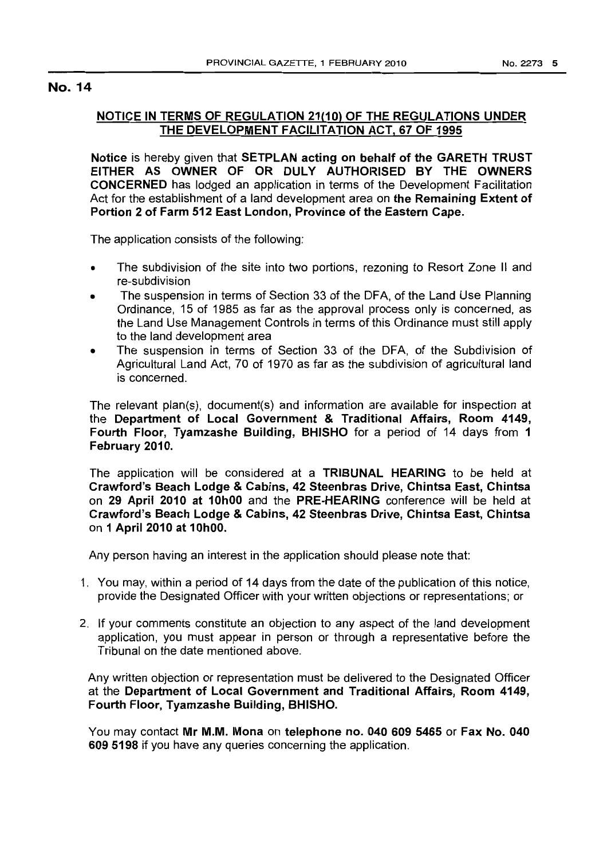## **NOTICE IN TERMS OF REGULATION 21(10) OF THE REGULATIONS UNDER THE DEVELOPMENT FACILITATION ACT, 67 OF 1995**

**Notice** is hereby given that **SETPLAN acting on behalf of the GARETH TRUST EITHER AS OWNER OF OR DULY AUTHORISED BY THE OWNERS CONCERNED** has lodged an application in terms of the Development Facilitation Act for the establishment of a land development area on **the Remaining Extent of Portion 2 of Farm 512 East London, Province of the Eastern Cape.**

The application consists of the following:

- The subdivision of the site into two portions, rezoning to Resort Zone II and re-subdivision
- The suspension in terms of Section 33 of the DFA, of the Land Use Planning Ordinance, 15 of 1985 as far as the approval process only is concerned, as the Land Use Management Controls in terms of this Ordinance must still apply to the land development area
- The suspension in terms of Section 33 of the DFA, of the Subdivision of Agricultural Land Act, 70 of 1970 as far as the subdivision of agricultural land is concerned.

The relevant plan(s), document(s) and information are available for inspection at the **Department of Local Government & Traditional Affairs, Room 4149, Fourth Floor, Tyamzashe Building, BHISHO** for a period of 14 days from 1 **February 2010.**

The application will be considered at a **TRIBUNAL HEARING** to be held at **Crawford's Beach Lodge & Cabins, 42 Steenbras Drive, Chintsa East, Chintsa** on **29 April 2010 at 10hOO** and the **PRE-HEARING** conference will be held at **Crawford's Beach Lodge & Cabins, 42 Steenbras Drive, Chintsa East, Chintsa** on **1 April 2010 at 10hOO.**

Any person having an interest in the application should please note that:

- 1. You may, within a period of 14 days from the date of the publication of this notice, provide the Designated Officer with your written objections or representations; or
- 2. If your comments constitute an objection to any aspect of the land development application, you must appear in person or through a representative before the Tribunal on the date mentioned above.

Any written objection or representation must be delivered to the Designated Officer at the **Department of Local Government and Traditional Affairs, Room 4149, Fourth Floor, Tyamzashe Building, BHISHO.**

You may contact **Mr M.M. Mona <sup>011</sup> telephone no. 040 609 5465 or Fax No. 040 609 5198** if you have any queries concerning the application.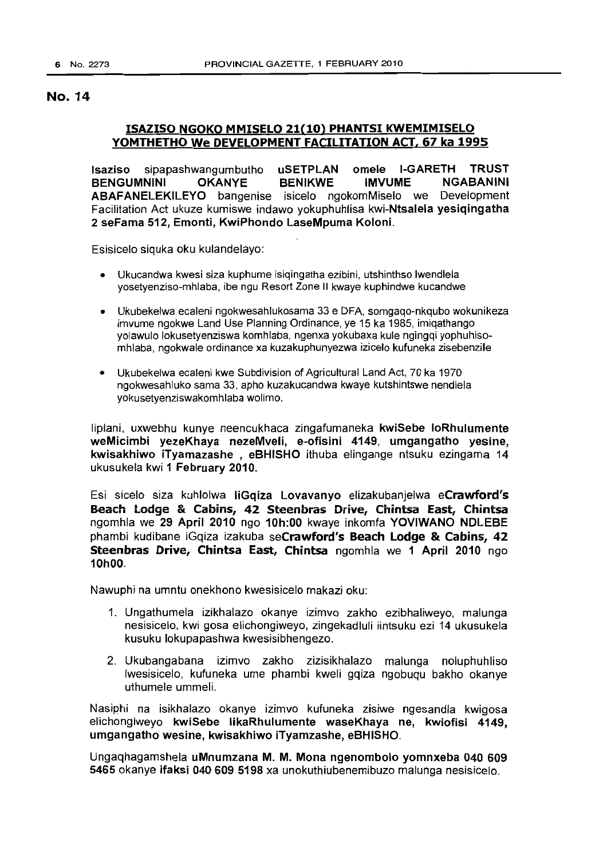## ISAZISO NGOKO MMISELO 21(10) PHANTSI KWEMIMISELO YOMTHETHO We DEVELOPMENT FACILITATION ACT, 67 ka 1995

Isaziso sipapashwangumbutho uSETPLAN omele I-GARETH TRUST BENGUMNINI OKANYE BENIKWE IMVUME NGABANINI ABAFANELEKILEYO bangenise isicelo ngokomMiselo we Development Facilitation Act ukuze kumiswe indawo yokuphuhlisa kwi-Ntsalela yesiqingatha 2 seFama 512, Emonti, KwiPhondo LaseMpuma Koloni.

Esisicelo siquka oku kulandelayo:

- Ukucandwa kwesi siza kuphume isiqingatha ezibini, utshinthso Iwendlela yosetyenziso-mhlaba, ibe ngu Resort Zone II kwaye kuphindwe kucandwe
- Ukubekelwa ecaleni ngokwesahlukosama 33 e DFA, somgaqo-nkqubo wokunikeza imvume ngokwe Land Use Planning Ordinance, ye 15 ka 1985, imiqathango yolawulo lokusetyenziswa komhlaba, ngenxa yokubaxa kule ngingqi yophuhisomhlaba, ngokwale ordinance xa kuzakuphunyezwa izicelo kufuneka zisebenzile
- Ukubekelwa ecaleni kwe Subdivision of Agricultural Land Act, 70 ka 1970 ngokwesahluko sama 33, apho kuzakucandwa kwaye kutshintswe nendlela yokusetyenziswakomhlaba wolimo.

liplani, uxwebhu kunye neencukhaca zingafumaneka kwiSebe loRhulumente weMicimbi yezeKhaya nezeMveli, e-ofisini 4149, umgangatho yesine, kwisakhiwo iTyamazashe , eBHISHO ithuba elingange ntsuku ezingama 14 ukusukela kwi 1 February 2010.

Esi sicelo siza kuhlolwa liGqiza Lovavanyo elizakubanjelwa eCrawford's Beach Lodge & Cabins, 42 Steenbras Drive, Chintsa East, Chintsa ngomhla we 29 April 2010 ngo 10h:00 kwaye inkomfa YOVIWANO NDLEBE phambi kudibane iGqiza izakuba seCrawford's Beach Lodge & Cabins, 42 Steenbras Drive, Chintsa East, Chintsa ngomhla we 1 April 2010 ngo 10hOO.

Nawuphi na umntu onekhono kwesisicelo makazi oku:

- 1. Ungathumela izikhalazo okanye izimvo zakho ezibhaliweyo, malunga nesisicelo, kwi gosa elichongiweyo, zingekadluli iintsuku ezi 14 ukusukela kusuku lokupapashwa kwesisibhengezo.
- 2. Ukubangabana izimvo zakho zizisikhalazo malunga noluphuhliso Iwesisicelo, kufuneka ume phambi kweli gqiza ngobuqu bakho okanye uthumele ummeli.

Nasiphi na isikhalazo okanye izimvo kufuneka zisiwe ngesandla kwigosa elichongiweyo kwiSebe likaRhulumente waseKhaya ne, kwiofisi 4149, umgangatho wesine, kwisakhiwo iTyamzashe, eBHISHO.

Ungaqhagamshela uMnumzana M. M. Mona ngenombolo yomnxeba 040 609 5465 okanye ifaksi 040 609 5198 xa unokuthiubenemibuzo malunga nesisicelo.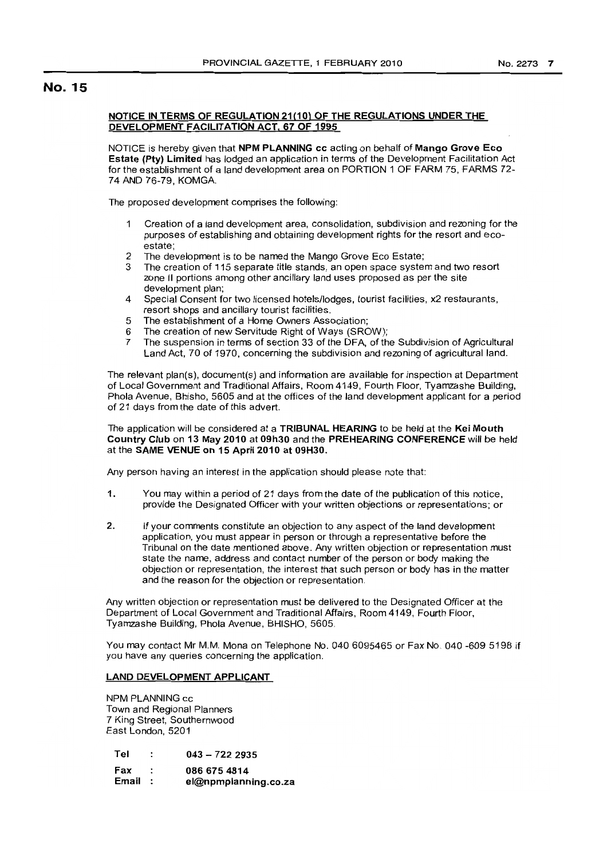### NOTICE IN TERMS OF REGULATION 21(10) OF THE REGULATIONS UNDER THE DEVELOPMENT FACILITATION ACT, 67 OF 1995

NOTICE is hereby given that NPM PLANNING cc acting on behalf of Mango Grove Eco Estate (Pty) Limited has lodged an application in terms of the Development Facilitation Act for the establishment of a land development area on PORTION 1 OF FARM 75, FARMS 72- 74 AND 76-79, KOMGA.

The proposed development comprises the following:

- Creation of a land development area, consolidation, subdivision and rezoning for the purposes of establishing and obtaining development rights for the resort and ecoestate;
- 2 The development is to be named the Mango Grove Eco Estate;
- 3 The creation of 115 separate title stands, an open space system and two resort zone II portions among other ancillary land uses proposed as per the site development plan;
- 4 Special Consent for two licensed hotels/lodges, tourist facilities, x2 restaurants, resort shops and ancillary tourist facilities.
- 5 The establishment of a Home Owners Association;
- 6 The creation of new Servitude Right of Ways (SROW);<br>7 The suspension in terms of section 33 of the DFA, of the
- 7 The suspension in terms of section 33 of the DFA, of the Subdivision of Agricultural Land Act, 70 of 1970, concerning the subdivision and rezoning of agricultural land.

The relevant plan(s), document(s) and information are available for inspection at Department of Local Government and Traditional Affairs, Room 4149, Fourth Floor, Tyamzashe Building, Phola Avenue, Bhisho, 5605 and at the offices of the land development applicant for a period of 21 days from the date of this advert.

### The application will be considered at a TRIBUNAL HEARING to be held at the Kei Mouth Country Club on 13 May 2010 at 09h30 and the PREHEARING CONFERENCE will be held at the SAME VENUE on 15 April 2010 at 09H30.

Any person having an interest in the application should please note that:

- 1. You may within a period of 21 days from the date of the publication of this notice, provide the Designated Officer with your written objections or representations; or
- 2. If your comments constitute an objection to any aspect of the land development application, you must appear in person or through a representative before the Tribunal on the date mentioned above. Any written objection or representation must state the name, address and contact number of the person or body making the objection or representation, the interest that such person or body has in the matter and the reason for the objection or representation.

Any written objection or representation must be delivered to the Designated Officer at the Department of Local Government and Traditional Affairs, Room 4149, Fourth Floor, Tyamzashe BUilding, Phola Avenue, BHISHO, 5605.

You may contact Mr M.M. Mona on Telephone No. 040 6095465 or Fax No. 040 -609 5198 if you have any queries concerning the application.

## LAND DEVELOPMENT APPLICANT

NPM PLANNING cc Town and Regional Planners 7 King Street, Southernwood East London, 5201

- Tel  $\cdot$ 043 - 722 2935
- Fax 0866754814
- Email: el@npmplanning.co.za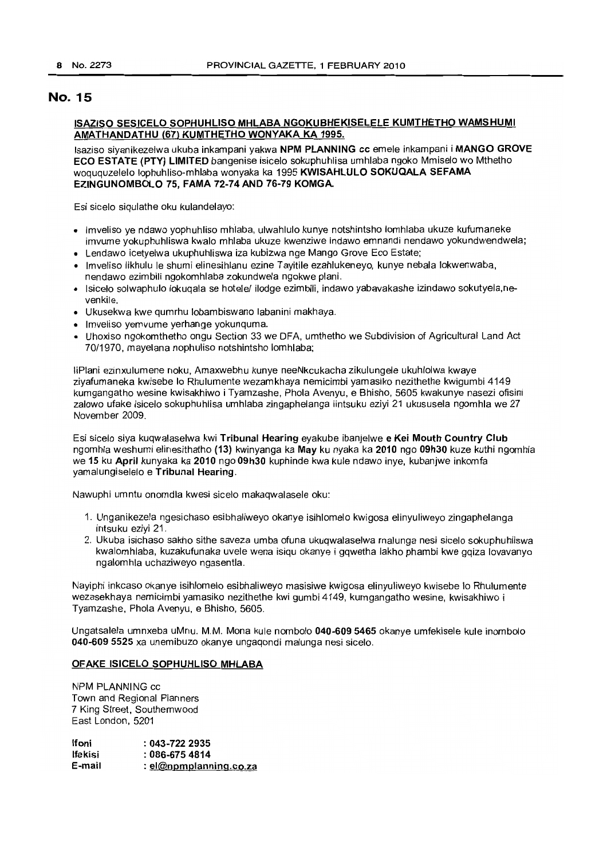## **ISAZISO SESICELO SOPHUHLlSO MHLABA NGOKUBHEKISELELE KUMTHETHO WAMSHUMI AMATHANDATHU (67) KUMTHETHO WONYAKA KA 1995.**

Isaziso siyanikezelwa ukuba inkampani yakwa **NPM PLANNING cc** emele inkampani i **MANGO GROVE ECO ESTATE (PTY) LIMITED** bangenise isicelo sokuphuhlisa umhlaba ngoko Mmiselo wo Mthetho woququzelelo lophuhliso-mhlaba wonyaka ka 1995 **KWISAHLULO SOKUQALA SEFAMA EZINGUNOMBOLO 75, FAMA 72-74 AND 76-79 KOMGA.**

Esi sicelo siqulathe oku kulandelayo:

- Imveliso ye ndawo yophuhliso mhlaba, ulwahlulo kunye notshintsho lomhlaba ukuze kufumaneke imvume yokuphuhliswa kwalo mhlaba ukuze kwenziwe indawo emnandi nendawo yokundwendwela;
- Lendawo icetyelwa ukuphuhliswa iza kubizwa nge Mango Grove Eco Estate;
- Imveliso likhulu Ie shumi elinesihlanu ezine Tayitile ezahlukeneyo, kunye nebala lokwenwaba, nendawo ezimbili ngokomhlaba zokundwela ngokwe plani.
- Isicelo solwaphulo lokuqala se hotele/ ilodge ezimbili, indawo yabavakashe izindawo sokutyela,nevenkile.
- Ukusekwa kwe qumrhu lobambiswano labanini makhaya.
- Imveliso yemvume yerhange yokunquma.
- Uhoxiso ngokomthetho ongu Section 33 we DFA, umthetho we Subdivision of Agricultural Land Act 70/1970, mayelana nophuliso notshintsho lomhlaba;

liPlani ezinxulumene noku, Amaxwebhu kunye neeNkcukacha zikulungele ukuhlolwa kwaye ziyafumaneka kwisebe 10 Rhulumente wezamkhaya nemicimbi yamasiko nezithethe kwigumbi 4149 kumgangatho wesine kwisakhiwo i Tyamzashe, Phola Avenyu, e Bhisho, 5605 kwakunye nasezi ofisini zalowo ufake isicelo sokuphuhlisa umhlaba zingaphelanga iintsuku eziyi 21 ukususela ngomhla we 27 November 2009.

Esi sicelo siya kuqwalaselwa kwi **Tribunal Hearing** eyakube ibanjelwe **e Kei Mouth Country Club** ngomhla weshumi elinesithatho **(13)** kwinyanga ka **May** ku nyaka ka **2010** ngo **09h30** kuze kuthi ngomhla we **15 ku April** kunyaka ka **2010** ngo **09h30** kuphinde kwa kule ndawo inye, kubanjwe inkomfa yamalungiselelo e **Tribunal Hearing.**

Nawuphi umntu onomdla kwesi sicelo makaqwalasele oku:

- 1. Unganikezela ngesichaso esibhaliweyo okanye isihlomelo kwigosa elinyuliweyo zingaphelanga intsuku eziyi 21.
- 2. Ukuba isichaso sakho sithe saveza umba ofuna ukuqwalaselwa malunga nesi sicelo sokuphuhliswa kwalomhlaba, kuzakufunaka uvele wena isiqu okanye i gqwetha lakho phambi kwe gqiza lovavanyo ngalomhla uchaziweyo ngasentla.

Nayiphi inkcaso okanye isihlomelo esibhaliweyo masisiwe kwigosa elinyuliweyo kwisebe 10 Rhulumente wezasekhaya nemicimbi yamasiko nezithethe kwi gumbi 4149, kumgangatho wesine, kwisakhiwo i Tyamzashe, Phola Avenyu, e Bhisho, 5605.

Ungatsalela umnxeba uMnu. M.M. Mona kule nombolo **040-609 5465** okanye umfekisele kule inombolo **040-609 5525** xa unemibuzo okanye ungaqondi malunga nesi sicelo.

### **OFAKE ISICELO SOPHUHLlSO MHLABA**

NPM PLANNING cc Town and Regional Planners 7 King Street, Southernwood East London, 5201

| lfoni   | $: 043 - 7222235$        |
|---------|--------------------------|
| lfekisi | $:086-6754814$           |
| E-mail  | : $el@npmplanning.co.za$ |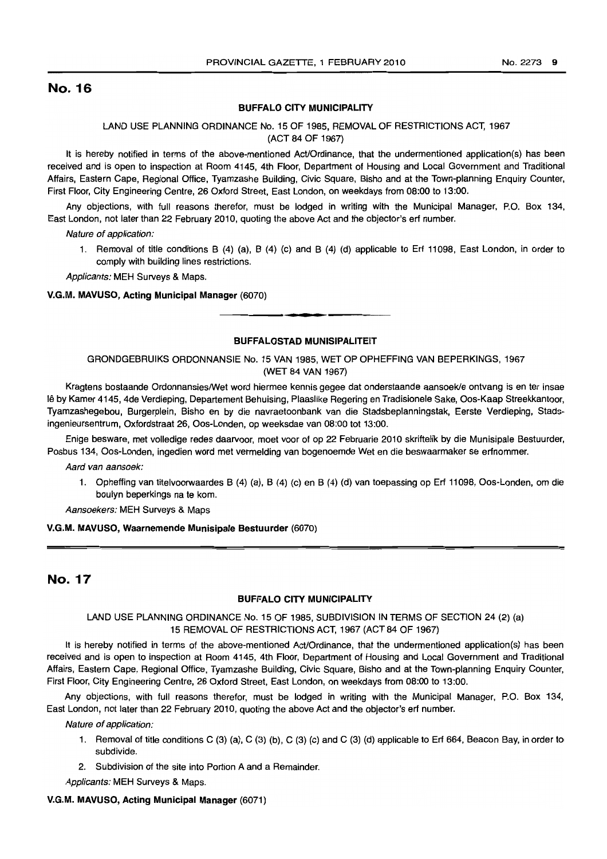## BUFFALO CITY MUNICIPALITY

### LAND USE PLANNING ORDINANCE No. 15 OF 1985, REMOVAL OF RESTRICTIONS ACT, 1967 (ACT 84 OF 1967)

It is hereby notified in terms of the above-mentioned Act/Ordinance, that the undermentioned application(s) has been received and is open to inspection at Room 4145, 4th Floor, Department of Housing and Local Government and Traditional Affairs, Eastern Cape, Regional Office, Tyamzashe Building, Civic Square, Bisho and at the Town-planning Enquiry Counter, First Floor, City Engineering Centre, 26 Oxford Street, East London, on weekdays from 08:00 to 13:00.

Any objections, with full reasons therefor, must be lodged in writing with the Municipal Manager, P.O. Box 134, East London, not later than 22 February 2010, quoting the above Act and the objector's erf number.

Nature of application:

1. Removal of title conditions B (4) (a), B (4) (c) and B (4) (d) applicable to Erf 11098, East London, in order to comply with building lines restrictions.

Applicants: MEH Surveys & Maps.

V.G.M. MAVUSO, Acting Municipal Manager (6070)

### BUFFALOSTAD MUNISIPALITEIT

**\_ .**

GRONDGEBRUIKS ORDONNANSIE No. 15 VAN 1985, WET OP OPHEFFING VAN BEPERKINGS, 1967 (WET 84 VAN 1967)

Kragtens bostaande OrdonnansieslWet word hiermee kennis gegee dat onderstaande aansoek/e ontvang is en ter insae Ie by Kamer 4145, 4de Verdieping, Departement Behuising, Plaaslike Regering en Tradisionele Sake, Oos-Kaap Streekkantoor, Tyamzashegebou, Burgerplein, Bisho en by die navraetoonbank van die Stadsbeplanningstak, Eerste Verdieping, Stadsingenieursentrum, Oxfordstraat 26, Oos-Londen, op weeksdae van 08:00 tot 13:00.

Enige besware, met volledige redes daarvoor, moet voor of op 22 Februarie 2010 skriftelik by die Munisipale Bestuurder, Posbus 134, Oos-Londen, ingedien word met vermelding van bogenoemde Wet en die beswaarmaker se erfnommer.

Aard van aansoek:

1. Opheffing van titelvoorwaardes B (4) (a), B (4) (c) en B (4) (d) van toepassing op Erf 11098, Oos-Londen, om die boulyn beperkings na te kom.

Aansoekers: MEH Surveys & Maps

#### V.G.M. MAVUSO, Waarnemende Munisipale Bestuurder (6070)

## No. 17

#### **BUFFALO CITY MUNICIPALITY**

## LAND USE PLANNING ORDINANCE No. 15 OF 1985, SUBDIVISION IN TERMS OF SECTION 24 (2) (a) 15 REMOVAL OF RESTRICTIONS ACT, 1967 (ACT 84 OF 1967)

It is hereby notified in terms of the above-mentioned Act/Ordinance, that the undermentioned application(s) has been received and is open to inspection at Room 4145, 4th Floor, Department of Housing and Local Government and Traditional Affairs, Eastern Cape, Regional Office, Tyamzashe Building, Civic Square, Bisho and at the Town-planning Enquiry Counter, First Floor, City Engineering Centre, 26 Oxford Street, East London, on weekdays from 08:00 to 13:00.

Any objections, with full reasons therefor, must be lodged in writing with the Municipal Manager, P.O. Box 134, East London, not later than 22 February 2010, quoting the above Act and the objector's erf number.

Nature of application:

- 1. Removal of title conditions C (3) (a), C (3) (b), C (3) (c) and C (3) (d) applicable to Erf 664, Beacon Bay, in order to subdivide.
- 2. Subdivision of the site into Portion A and a Remainder.

Applicants: MEH Surveys & Maps.

### V.G.M. MAVUSO, Acting Municipal Manager (6071)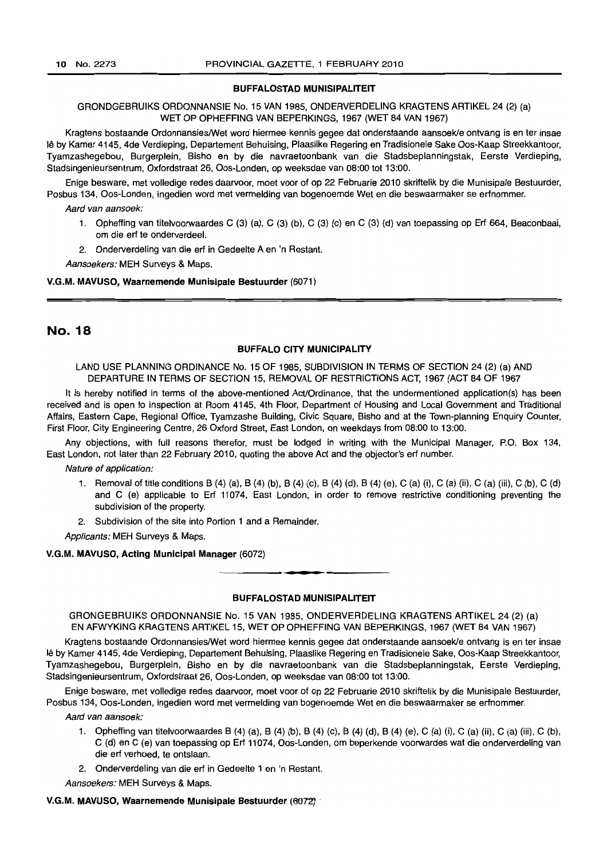#### BUFFALOSTAD MUNISIPALITEIT

GRONDGEBRUIKS ORDONNANSIE No. 15 VAN 1985, ONDERVERDELING KRAGTENS ARTIKEL 24 (2) (a) WET OP OPHEFFING VAN BEPERKINGS, 1967 (WET 84 VAN 1967)

Kragtens bostaande Ordonnansies/Wet word hiermee kennis gegee dat onderstaande aansoek/e ontvang is en ter insae Ie by Kamer 4145, 4de Verdieping, Departement Behuising, Plaaslike Regering en Tradisionele Sake Oos-Kaap Streekkantoor, Tyamzashegebou, Burgerplein, Bisho en by die navraetoonbank van die Stadsbeplanningstak, Eerste Verdieping, Stadsingenieursentrum, Oxfordstraat 26, Oos-Londen, op weeksdae van 08:00 tot 13:00.

Enige besware, met volledige redes daarvoor, moet voor of op 22 Februarie 2010 skriftelik by die Munisipale Bestuurder, Posbus 134, Oos-Londen, ingedien word met vermelding van bogenoemde Wet en die beswaarmaker se erfnommer.

Aard van aansoek:

- 1. Opheffing van titelvoorwaardes C (3) (a), C (3) (b), C (3) (c) en C (3) (d) van toepassing op Ert 664, Beaconbaai, om die ert te onderverdeel.
- 2. Onderverdeling van die ert in Gedeelte A en 'n Restant.

Aansoekers: MEH Surveys & Maps.

#### V.G.M. MAVUSO, Waarnemende Munisipale Bestuurder (6071)

## No. 18

#### BUFFALO CITY MUNICIPALITY

LAND USE PLANNING ORDINANCE No. 15 OF 1985, SUBDIVISION IN TERMS OF SECTION 24 (2) (a) AND DEPARTURE IN TERMS OF SECTION 15, REMOVAL OF RESTRICTIONS ACT, 1967 (ACT 84 OF 1967

It is hereby notified in terms of the above-mentioned Act/Ordinance, that the undermentioned application(s) has been received and is open to inspection at Room 4145, 4th Floor, Department of Housing and Local Government and Traditional Affairs, Eastern Cape, Regional Office, Tyamzashe Building, Civic Square, Bisho and at the Town-planning Enquiry Counter, First Floor, City Engineering Centre, 26 Oxford Street, East London, on weekdays from 08:00 to 13:00.

Any objections, with full reasons therefor, must be lodged in writing with the Municipal Manager, P.O. Box 134, East London, not later than 22 February 2010, quoting the above Act and the objector's ert number.

Nature of application:

- 1. Removal of title conditions B (4) (a), B (4) (b), B (4) (c), B (4) (d), B (4) (e), C (a) (i), C (a) (ii), C (a) (iii), C (b), C (d) and C (e) applicable to Ert 11074, East London, in order to remove restrictive conditioning preventing the subdivision of the property.
- 2. Subdivision of the site into Portion 1 and a Remainder.

Applicants: MEH Surveys & Maps.

V.G.M. MAVUSO, Acting Municipal Manager (6072)

#### BUFFALOSTAD MUNISIPALITEIT

**• I**

GRONGEBRUIKS ORDONNANSIE No. 15 VAN 1985, ONDERVERDELING KRAGTENS ARTIKEL 24 (2) (a) EN AFWYKING KRAGTENS ARTIKEL 15, WET OP OPHEFFING VAN BEPERKINGS, 1967 (WET 84 VAN 1967)

Kragtens bostaande Ordonnansies/Wet word hiermee kennis gegee dat onderstaande aansoek/e ontvang is en ter insae Ie by Kamer 4145, 4de Verdieping, Departement Behuising, Plaaslike Regering en Tradisionele Sake, Oos-Kaap Streekkantoor, Tyamzashegebou, Burgerplein, Bisho en by die navraetoonbank *van* die Stadsbeplanningstak, Eerste Verdieping, Stadsingenieursentrum, Oxfordstraat 26, Oos-Londen, op weeksdae van 08:00 tot 13:00.

Enige besware, met volledige redes daarvoor, moet voor of op 22 Februarie 2010 skriftelik by die Munisipale Bestuurder, Posbus 134, Oos-Londen, ingedien word met vermelding van bogenoemde Wet en die beswaarmaker se erfnommer.

Aard van aansoek:

- 1. Opheffing van titelvoorwaardes B (4) (a), B (4) (b), B (4) (c), B (4) (d), B (4) (e), C (a) (i), C (a) (ii), C (a) (iii), C (b), C (d) en C (e) van toepassing op Erf 11074, Oos-Londen, om beperkende voorwardes wat die onderverdeling van die ert verhoed, te ontslaan.
- 2. Onderverdeling van die ert in Gedeelte 1 en 'n Restant.

Aansoekers: MEH Surveys & Maps.

V.G.M. MAVUSO, Waarnemende Munisipale Bestuurder (6072)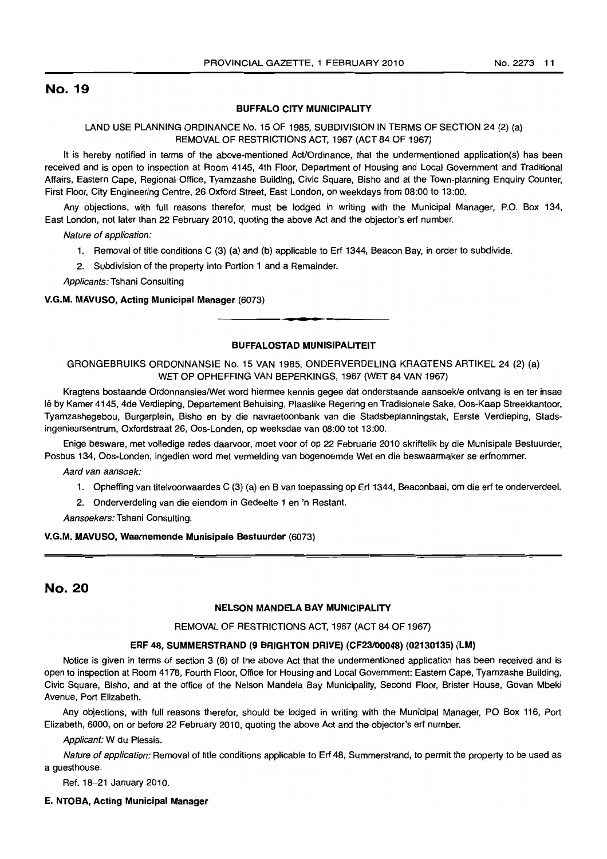#### BUFFALO CITY MUNICIPALITY

LAND USE PLANNING ORDINANCE No. 15 OF 1985, SUBDIVISION IN TERMS OF SECTION 24 (2) (a) REMOVAL OF RESTRICTIONS ACT, 1967 (ACT 84 OF 1967)

It is hereby notified in terms of the above-mentioned Act/Ordinance, that the undermentioned application(s) has been received and is open to inspection at Room 4145, 4th Floor, Department of Housing and Local Government and Traditional Affairs, Eastern Cape, Regional Office, Tyamzashe Building, Civic Square, Bisho and at the Town-planning Enquiry Counter, First Floor, City Engineering Centre, 26 Oxford Street, East London, on weekdays from 08:00 to 13:00.

Any objections, with full reasons therefor, must be lodged in writing with the Municipal Manager, P.O. Box 134, East London, not later than 22 February 2010, quoting the above Act and the objector's ert number.

Nature of application:

- 1. Removal of title conditions C (3) (a) and (b) applicable to Ert 1344, Beacon Bay, in order to subdivide.
- 2. Subdivision of the property into Portion 1 and a Remainder.

Applicants: Tshani Consulting

#### V.G.M. MAVUSO, Acting Municipal Manager (6073)

## BUFFALOSTAD MUNISIPALITEIT

.**-.**

GRONGEBRUIKS ORDONNANSIE No. 15 VAN 1985, ONDERVERDELING KRAGTENS ARTIKEL 24 (2) (a) WET OP OPHEFFING VAN BEPERKINGS, 1967 (WET 84 VAN 1967)

Kragtens bostaande OrdonnansieslWet word hiermee kennis gegee dat onderstaande aansoekle ontvang is en ter insae Ie by Kamer 4145, 4de Verdieping, Departement Behuising, Plaaslike Regering en Tradisionele Sake, Oos-Kaap Streekkantoor, Tyamzashegebou, Burgerplein, Bisho en by die navraetoonbank van die Stadsbeplanningstak, Eerste Verdieping, Stadsingenieursentrum, Oxfordstraat 26, Oos-Londen, op weeksdae van 08:00 tot 13:00.

Enige besware, met volledige redes daarvoor, moet voor of op 22 Februarie 2010 skriftelik by die Munisipale Bestuurder, Posbus 134, Oos-Londen, ingedien word met vermelding van bogenoemde Wet en die beswaarmaker se ertnommer.

Aard van aansoek:

1. Opheffing van titelvoorwaardes C (3) (a) en B van toepassing op Erf 1344, Beaconbaai, om die ert te onderverdeel.

2. Onderverdeling van die eiendom in Gedeelte 1 en 'n Restant.

Aansoekers: Tshani Consultinq,

### V.G.M. MAVUSO, Waarnemende Munisipale Bestuurder (6073)

## No. 20

## NELSON MANDELA BAY MUNICIPALITY

#### REMOVAL OF RESTRICTIONS ACT, 1967 (ACT 84 OF 1967)

#### ERF 48, SUMMERSTRAND (9 BRIGHTON DRIVE) (CF23/00048) (02130135) (LM)

Notice is given in terms of section 3 (6) of the above Act that the undermentioned application has been received and is open to inspection at Room 4178, Fourth Floor, Office for Housing and Local Government: Eastern Cape, Tyamzashe Building, Civic Square, Bisho, and at the office of the Nelson Mandela Bay Municipalilty, Second Floor, Brister House, Govan Mbeki Avenue, Port Elizabeth.

Any objections, with full reasons therefor, should be lodged in writing with the Municipal Manager, PO Box 116, Port Elizabeth, 6000, on or before 22 February 2010, quoting the above Act and the objector's ert number.

Applicant: W du Plessis.

Nature of application: Removal of title conditions applicable to Ert 48, Summerstrand, to permit the property to be used as a guesthouse.

Ref. 18-21 January 2010.

#### E. NTOBA, Acting Municipal Manager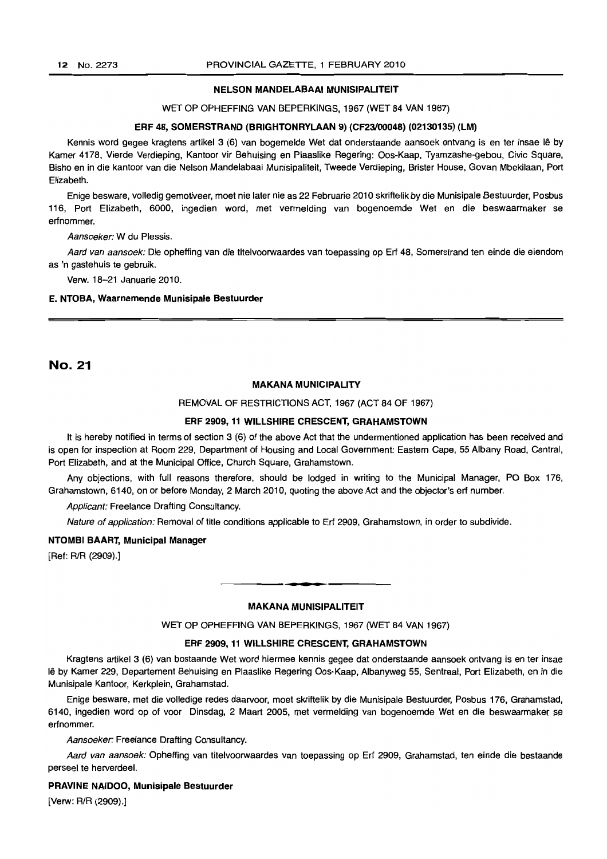#### NELSON MANDELABAAI MUNISIPALITEIT

#### WET OP OPHEFFING VAN BEPERKINGS, 1967 (WET 84 VAN 1967)

#### ERF 48, SOMERSTRAND (BRIGHTONRYLAAN 9) (CF23100048) (02130135) (LM)

Kennis word gegee kragtens artikel 3 (6) van bogemelde Wet dat onderstaande aansoek ontvang is en ter insae lê by Kamer 4178, Vierde Verdieping, Kantoor vir Behuising en Plaaslike Regering: Oos-Kaap, Tyamzashe-gebou, Civic Square, Bisho en in die kantoor van die Nelson Mandelabaai Munisipaliteit, Tweede Verdieping, Brister House, Govan Mbekilaan, Port Elizabeth.

Enige besware, volledig gemotiveer, moet nie later nie as 22 Februarie 2010 skriftelik by die Munisipale Bestuurder, Posbus 116, Port Elizabeth, 6000, ingedien word, met vermelding van bogenoemde Wet en die beswaarmaker se erfnommer.

Aansoeker: W du Plessis.

Aard van aansoek: Die opheffing van die titelvoorwaardes van toepassing op Erf 48, Somerstrand ten einde die eiendom as 'n gastehuis te gebruik.

Verw. 18-21 Januarie 2010.

#### E. NTOBA, Waarnemende Munisipale Bestuurder

## No. 21

## MAKANA MUNICIPALITY

REMOVAL OF RESTRICTIONS ACT, 1967 (ACT 84 OF 1967)

#### ERF 2909, 11 WILLSHIRE CRESCENT, GRAHAMSTOWN

It is hereby notified in terms of section 3 (6) of the above Act that the undermentioned application has been received and is open for inspection at Room 229, Department of Housing and Local Government: Eastern Cape, 55 Albany Road, Central, Port Elizabeth, and at the Municipal Office, Church Square, Grahamstown.

Any objections, with full reasons therefore, should be lodged in writing to the Municipal Manager, PO Box 176, Grahamstown, 6140, on or before Monday, 2 March 2010, quoting the above Act and the objector's erf number.

Applicant: Freelance Drafting Consultancy.

Nature of application: Removal of title conditions applicable to Erf 2909, Grahamstown, in order to subdivide.

#### NTOMBI BAART, Municipal Manager

[Ref: R/R (2909).]

#### MAKANA MUNISIPALITEIT

**-**

WET OP OPHEFFING VAN BEPERKINGS, 1967 (WET 84 VAN 1967)

#### ERF 2909, 11 WILLSHIRE CRESCENT, GRAHAMSTOWN

Kragtens artikel 3 (6) van bostaande Wet word hiermee kennis gegee dat onderstaande aansoek ontvang is en ter insae Ie by Kamer 229, Departement Behuising en Plaaslike Regering Oos-Kaap, Albanyweg 55, Sentraal, Port Elizabeth, en in die Munisipale Kantoor, Kerkplein, Grahamstad.

Enige besware, met die volledige redes daarvoor, moet skriftelik by die Munisipale Bestuurder, Posbus 176, Grahamstad, 6140, ingedien word op of voor Dinsdag, 2 Maart 2005, met vermelding van bogenoemde Wet en die beswaarmaker sa erfnommer.

Aansoeker: Freelance Drafting Consultancy.

Aard van aansoek: Opheffing van titelvoorwaardes van toepassing op Erf 2909, Grahamstad, ten einde die bestaande perseel te herverdeel.

## PRAVINE NAIDOO, Munisipale Bestuurder

[Verw: R/R (2909).]